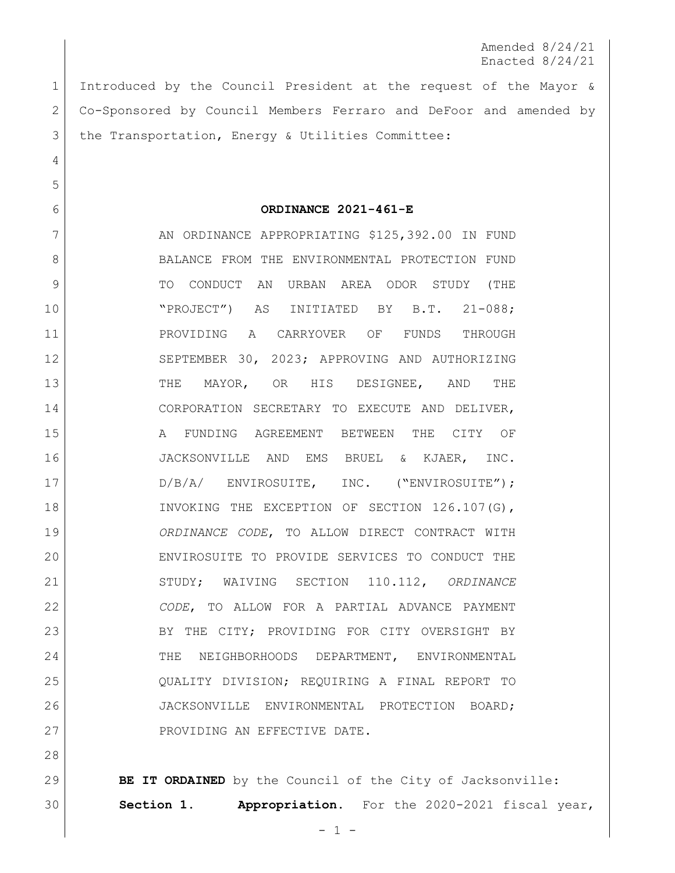Amended 8/24/21 Enacted 8/24/21

 Introduced by the Council President at the request of the Mayor & Co-Sponsored by Council Members Ferraro and DeFoor and amended by the Transportation, Energy & Utilities Committee:

**ORDINANCE 2021-461-E**

7 AN ORDINANCE APPROPRIATING \$125,392.00 IN FUND 8 BALANCE FROM THE ENVIRONMENTAL PROTECTION FUND 9 | TO CONDUCT AN URBAN AREA ODOR STUDY (THE "PROJECT") AS INITIATED BY B.T. 21-088; PROVIDING A CARRYOVER OF FUNDS THROUGH 12 SEPTEMBER 30, 2023; APPROVING AND AUTHORIZING 13 THE MAYOR, OR HIS DESIGNEE, AND THE CORPORATION SECRETARY TO EXECUTE AND DELIVER, A FUNDING AGREEMENT BETWEEN THE CITY OF JACKSONVILLE AND EMS BRUEL & KJAER, INC. 17 | D/B/A/ ENVIROSUITE, INC. ("ENVIROSUITE"); 18 INVOKING THE EXCEPTION OF SECTION 126.107(G), *ORDINANCE CODE*, TO ALLOW DIRECT CONTRACT WITH ENVIROSUITE TO PROVIDE SERVICES TO CONDUCT THE STUDY; WAIVING SECTION 110.112, *ORDINANCE CODE*, TO ALLOW FOR A PARTIAL ADVANCE PAYMENT 23 BY THE CITY; PROVIDING FOR CITY OVERSIGHT BY 24 THE NEIGHBORHOODS DEPARTMENT, ENVIRONMENTAL QUALITY DIVISION; REQUIRING A FINAL REPORT TO JACKSONVILLE ENVIRONMENTAL PROTECTION BOARD; 27 PROVIDING AN EFFECTIVE DATE.

**BE IT ORDAINED** by the Council of the City of Jacksonville: **Section 1. Appropriation.** For the 2020-2021 fiscal year,

 $- 1 -$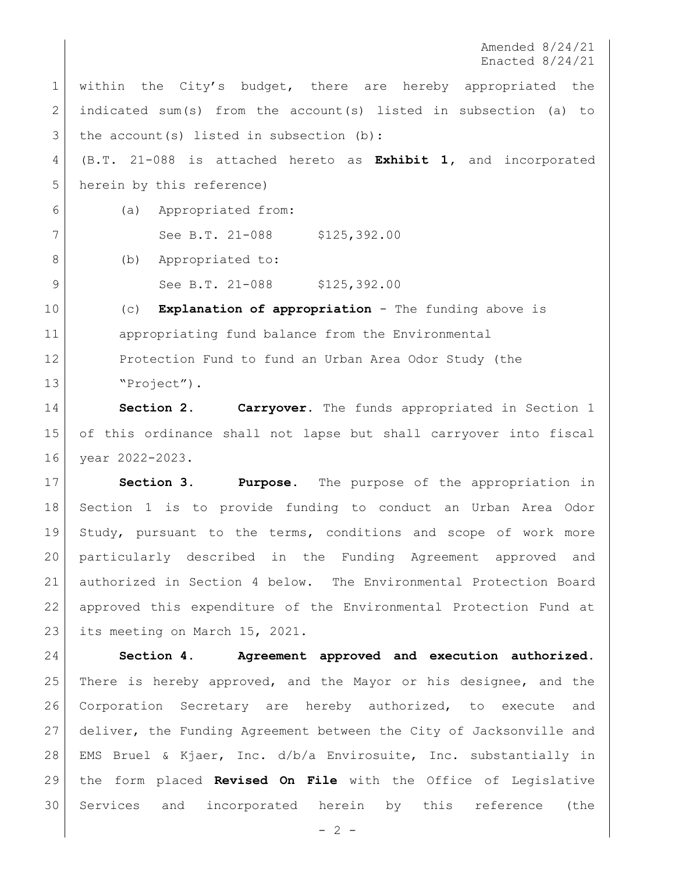Amended 8/24/21 Enacted 8/24/21

1 within the City's budget, there are hereby appropriated the indicated sum(s) from the account(s) listed in subsection (a) to the account(s) listed in subsection (b): (B.T. 21-088 is attached hereto as **Exhibit 1,** and incorporated herein by this reference) (a) Appropriated from: 7 See B.T. 21-088 \$125,392.00 8 (b) Appropriated to: 9 See B.T. 21-088 \$125,392.00 (c) **Explanation of appropriation** - The funding above is appropriating fund balance from the Environmental Protection Fund to fund an Urban Area Odor Study (the

13 Project").

 **Section 2. Carryover.** The funds appropriated in Section 1 of this ordinance shall not lapse but shall carryover into fiscal year 2022-2023.

 **Section 3. Purpose**. The purpose of the appropriation in Section 1 is to provide funding to conduct an Urban Area Odor Study, pursuant to the terms, conditions and scope of work more particularly described in the Funding Agreement approved and authorized in Section 4 below. The Environmental Protection Board approved this expenditure of the Environmental Protection Fund at 23 | its meeting on March 15, 2021.

 **Section 4. Agreement approved and execution authorized.** There is hereby approved, and the Mayor or his designee, and the Corporation Secretary are hereby authorized, to execute and deliver, the Funding Agreement between the City of Jacksonville and EMS Bruel & Kjaer, Inc. d/b/a Envirosuite, Inc. substantially in the form placed **Revised On File** with the Office of Legislative Services and incorporated herein by this reference (the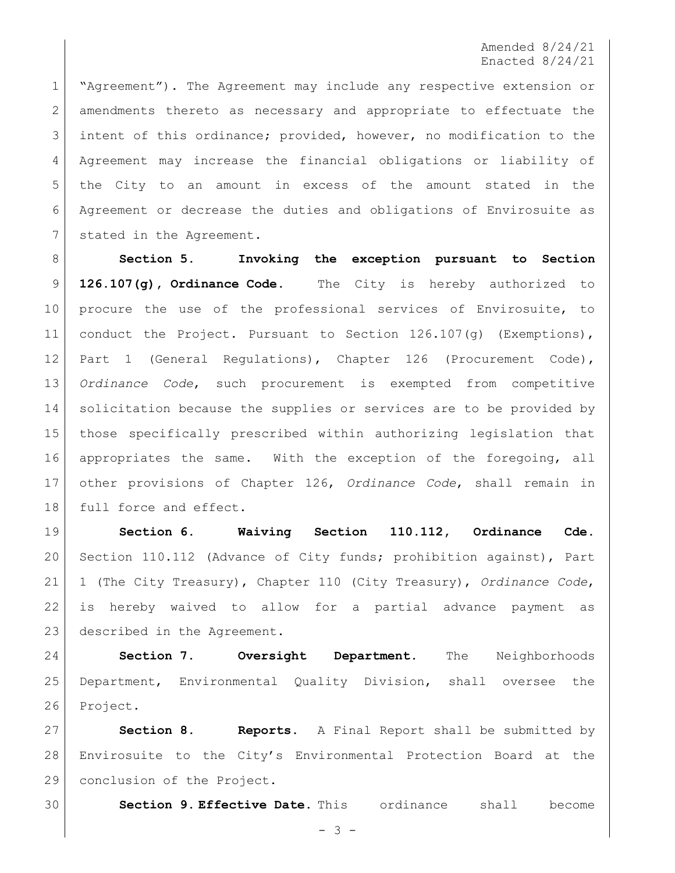Amended 8/24/21 Enacted 8/24/21

 "Agreement"). The Agreement may include any respective extension or 2 amendments thereto as necessary and appropriate to effectuate the intent of this ordinance; provided, however, no modification to the Agreement may increase the financial obligations or liability of the City to an amount in excess of the amount stated in the Agreement or decrease the duties and obligations of Envirosuite as 7 stated in the Agreement.

 **Section 5. Invoking the exception pursuant to Section 126.107(g), Ordinance Code.** The City is hereby authorized to 10 | procure the use of the professional services of Envirosuite, to conduct the Project. Pursuant to Section 126.107(g) (Exemptions), Part 1 (General Regulations), Chapter 126 (Procurement Code), *Ordinance Code*, such procurement is exempted from competitive solicitation because the supplies or services are to be provided by those specifically prescribed within authorizing legislation that appropriates the same. With the exception of the foregoing, all other provisions of Chapter 126, *Ordinance Code*, shall remain in 18 full force and effect.

 **Section 6. Waiving Section 110.112, Ordinance Cde.**  20 Section 110.112 (Advance of City funds; prohibition against), Part 1 (The City Treasury), Chapter 110 (City Treasury), *Ordinance Code*, is hereby waived to allow for a partial advance payment as 23 described in the Agreement.

 **Section 7. Oversight Department.** The Neighborhoods Department, Environmental Quality Division, shall oversee the 26 Project.

 **Section 8. Reports.** A Final Report shall be submitted by Envirosuite to the City's Environmental Protection Board at the conclusion of the Project.

**Section 9. Effective Date.** This ordinance shall become

 $- 3 -$